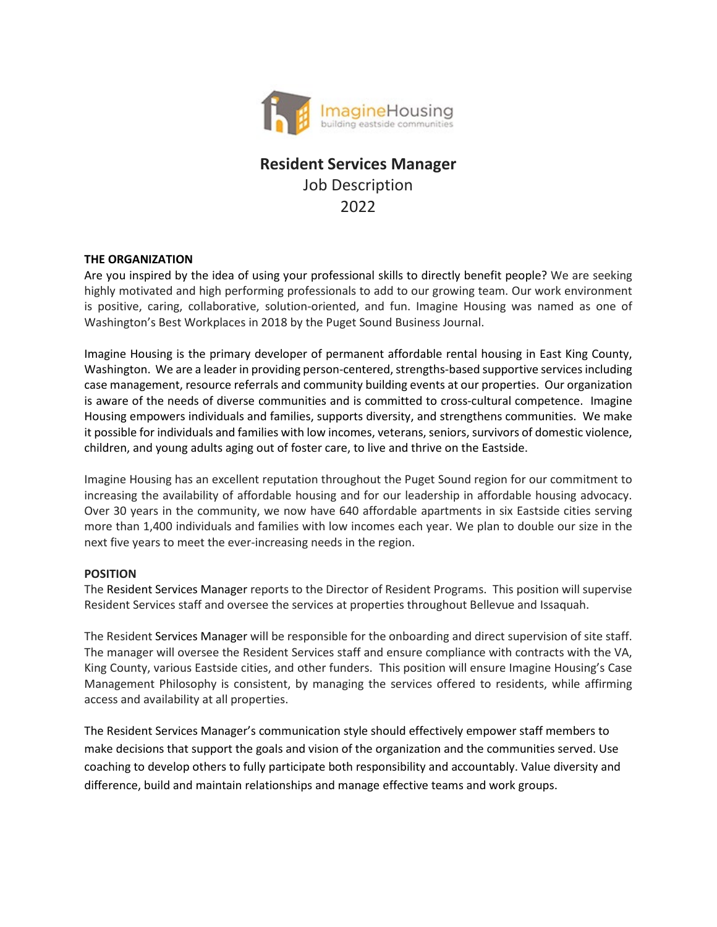

# **Resident Services Manager** Job Description 2022

#### **THE ORGANIZATION**

Are you inspired by the idea of using your professional skills to directly benefit people? We are seeking highly motivated and high performing professionals to add to our growing team. Our work environment is positive, caring, collaborative, solution-oriented, and fun. Imagine Housing was named as one of Washington's Best Workplaces in 2018 by the Puget Sound Business Journal.

Imagine Housing is the primary developer of permanent affordable rental housing in East King County, Washington. We are a leader in providing person-centered, strengths-based supportive services including case management, resource referrals and community building events at our properties. Our organization is aware of the needs of diverse communities and is committed to cross-cultural competence. Imagine Housing empowers individuals and families, supports diversity, and strengthens communities. We make it possible for individuals and families with low incomes, veterans, seniors, survivors of domestic violence, children, and young adults aging out of foster care, to live and thrive on the Eastside.

Imagine Housing has an excellent reputation throughout the Puget Sound region for our commitment to increasing the availability of affordable housing and for our leadership in affordable housing advocacy. Over 30 years in the community, we now have 640 affordable apartments in six Eastside cities serving more than 1,400 individuals and families with low incomes each year. We plan to double our size in the next five years to meet the ever-increasing needs in the region.

#### **POSITION**

The Resident Services Manager reports to the Director of Resident Programs. This position will supervise Resident Services staff and oversee the services at properties throughout Bellevue and Issaquah.

The Resident Services Manager will be responsible for the onboarding and direct supervision of site staff. The manager will oversee the Resident Services staff and ensure compliance with contracts with the VA, King County, various Eastside cities, and other funders. This position will ensure Imagine Housing's Case Management Philosophy is consistent, by managing the services offered to residents, while affirming access and availability at all properties.

The Resident Services Manager's communication style should effectively empower staff members to make decisions that support the goals and vision of the organization and the communities served. Use coaching to develop others to fully participate both responsibility and accountably. Value diversity and difference, build and maintain relationships and manage effective teams and work groups.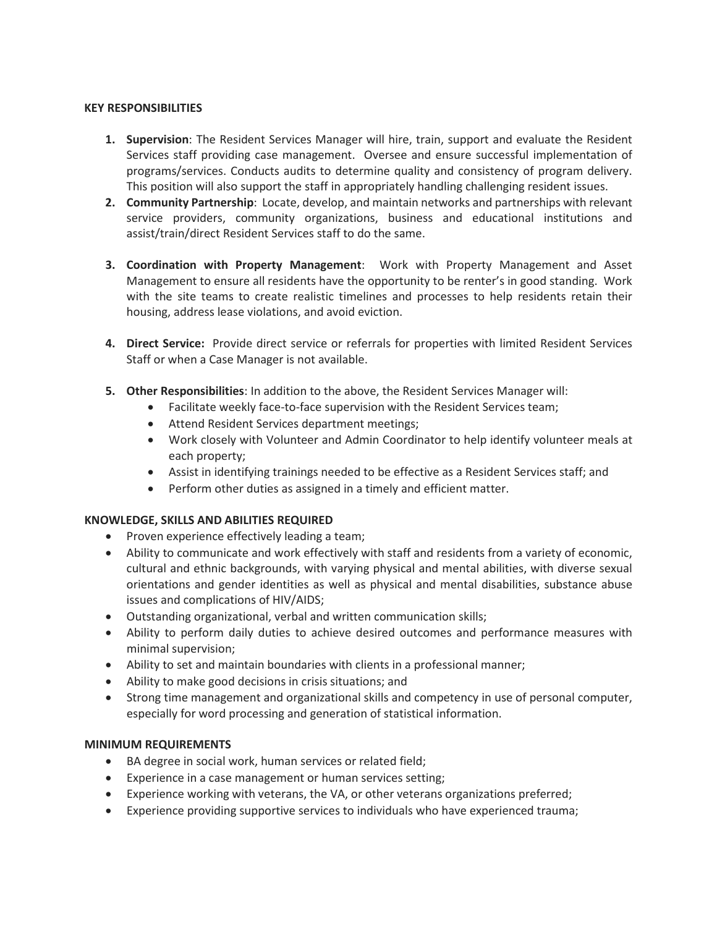#### **KEY RESPONSIBILITIES**

- **1. Supervision**: The Resident Services Manager will hire, train, support and evaluate the Resident Services staff providing case management. Oversee and ensure successful implementation of programs/services. Conducts audits to determine quality and consistency of program delivery. This position will also support the staff in appropriately handling challenging resident issues.
- **2. Community Partnership**: Locate, develop, and maintain networks and partnerships with relevant service providers, community organizations, business and educational institutions and assist/train/direct Resident Services staff to do the same.
- **3. Coordination with Property Management**: Work with Property Management and Asset Management to ensure all residents have the opportunity to be renter's in good standing. Work with the site teams to create realistic timelines and processes to help residents retain their housing, address lease violations, and avoid eviction.
- **4. Direct Service:** Provide direct service or referrals for properties with limited Resident Services Staff or when a Case Manager is not available.
- **5. Other Responsibilities**: In addition to the above, the Resident Services Manager will:
	- Facilitate weekly face-to-face supervision with the Resident Services team;
	- Attend Resident Services department meetings;
	- Work closely with Volunteer and Admin Coordinator to help identify volunteer meals at each property;
	- Assist in identifying trainings needed to be effective as a Resident Services staff; and
	- Perform other duties as assigned in a timely and efficient matter.

#### **KNOWLEDGE, SKILLS AND ABILITIES REQUIRED**

- Proven experience effectively leading a team;
- Ability to communicate and work effectively with staff and residents from a variety of economic, cultural and ethnic backgrounds, with varying physical and mental abilities, with diverse sexual orientations and gender identities as well as physical and mental disabilities, substance abuse issues and complications of HIV/AIDS;
- Outstanding organizational, verbal and written communication skills;
- Ability to perform daily duties to achieve desired outcomes and performance measures with minimal supervision;
- Ability to set and maintain boundaries with clients in a professional manner;
- Ability to make good decisions in crisis situations; and
- Strong time management and organizational skills and competency in use of personal computer, especially for word processing and generation of statistical information.

#### **MINIMUM REQUIREMENTS**

- BA degree in social work, human services or related field;
- Experience in a case management or human services setting;
- Experience working with veterans, the VA, or other veterans organizations preferred;
- Experience providing supportive services to individuals who have experienced trauma;